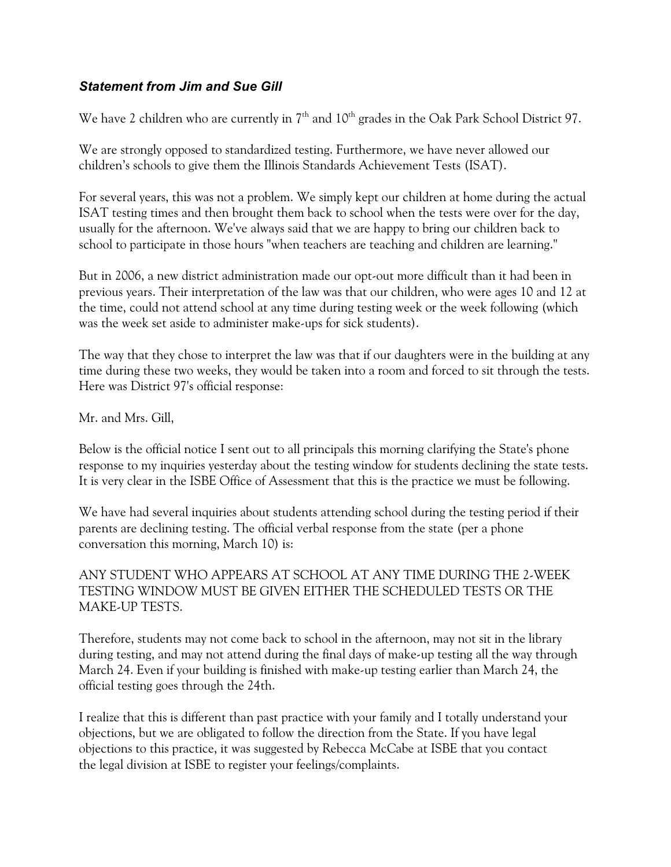## *Statement from Jim and Sue Gill*

We have 2 children who are currently in  $7<sup>th</sup>$  and  $10<sup>th</sup>$  grades in the Oak Park School District 97.

We are strongly opposed to standardized testing. Furthermore, we have never allowed our children's schools to give them the Illinois Standards Achievement Tests (ISAT).

For several years, this was not a problem. We simply kept our children at home during the actual ISAT testing times and then brought them back to school when the tests were over for the day, usually for the afternoon. We've always said that we are happy to bring our children back to school to participate in those hours "when teachers are teaching and children are learning."

But in 2006, a new district administration made our opt-out more difficult than it had been in previous years. Their interpretation of the law was that our children, who were ages 10 and 12 at the time, could not attend school at any time during testing week or the week following (which was the week set aside to administer make-ups for sick students).

The way that they chose to interpret the law was that if our daughters were in the building at any time during these two weeks, they would be taken into a room and forced to sit through the tests. Here was District 97's official response:

Mr. and Mrs. Gill,

Below is the official notice I sent out to all principals this morning clarifying the State's phone response to my inquiries yesterday about the testing window for students declining the state tests. It is very clear in the ISBE Office of Assessment that this is the practice we must be following.

We have had several inquiries about students attending school during the testing period if their parents are declining testing. The official verbal response from the state (per a phone conversation this morning, March 10) is:

ANY STUDENT WHO APPEARS AT SCHOOL AT ANY TIME DURING THE 2-WEEK TESTING WINDOW MUST BE GIVEN EITHER THE SCHEDULED TESTS OR THE MAKE-UP TESTS.

Therefore, students may not come back to school in the afternoon, may not sit in the library during testing, and may not attend during the final days of make-up testing all the way through March 24. Even if your building is finished with make-up testing earlier than March 24, the official testing goes through the 24th.

I realize that this is different than past practice with your family and I totally understand your objections, but we are obligated to follow the direction from the State. If you have legal objections to this practice, it was suggested by Rebecca McCabe at ISBE that you contact the legal division at ISBE to register your feelings/complaints.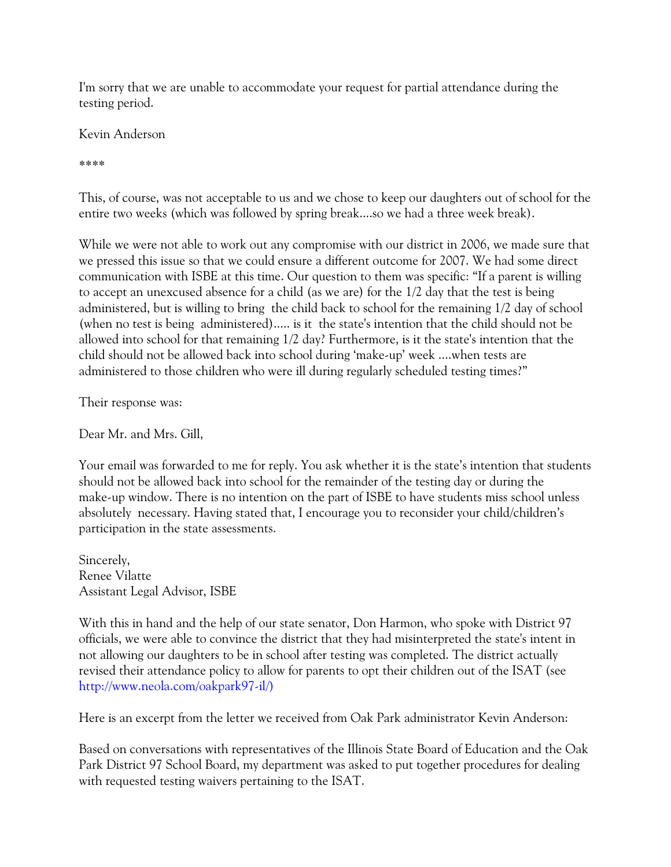I'm sorry that we are unable to accommodate your request for partial attendance during the testing period.

Kevin Anderson

\*\*\*\*

This, of course, was not acceptable to us and we chose to keep our daughters out of school for the entire two weeks (which was followed by spring break....so we had a three week break).

While we were not able to work out any compromise with our district in 2006, we made sure that we pressed this issue so that we could ensure a different outcome for 2007. We had some direct communication with ISBE at this time. Our question to them was specific: "If a parent is willing to accept an unexcused absence for a child (as we are) for the 1/2 day that the test is being administered, but is willing to bring the child back to school for the remaining 1/2 day of school (when no test is being administered)..... is it the state's intention that the child should not be allowed into school for that remaining 1/2 day? Furthermore, is it the state's intention that the child should not be allowed back into school during 'make-up' week ....when tests are administered to those children who were ill during regularly scheduled testing times?"

Their response was:

Dear Mr. and Mrs. Gill,

Your email was forwarded to me for reply. You ask whether it is the state's intention that students should not be allowed back into school for the remainder of the testing day or during the make-up window. There is no intention on the part of ISBE to have students miss school unless absolutely necessary. Having stated that, I encourage you to reconsider your child/children's participation in the state assessments.

Sincerely, Renee Vilatte Assistant Legal Advisor, ISBE

With this in hand and the help of our state senator, Don Harmon, who spoke with District 97 officials, we were able to convince the district that they had misinterpreted the state's intent in not allowing our daughters to be in school after testing was completed. The district actually revised their attendance policy to allow for parents to opt their children out of the ISAT (see http://www.neola.com/oakpark97-il/)

Here is an excerpt from the letter we received from Oak Park administrator Kevin Anderson:

Based on conversations with representatives of the Illinois State Board of Education and the Oak Park District 97 School Board, my department was asked to put together procedures for dealing with requested testing waivers pertaining to the ISAT.